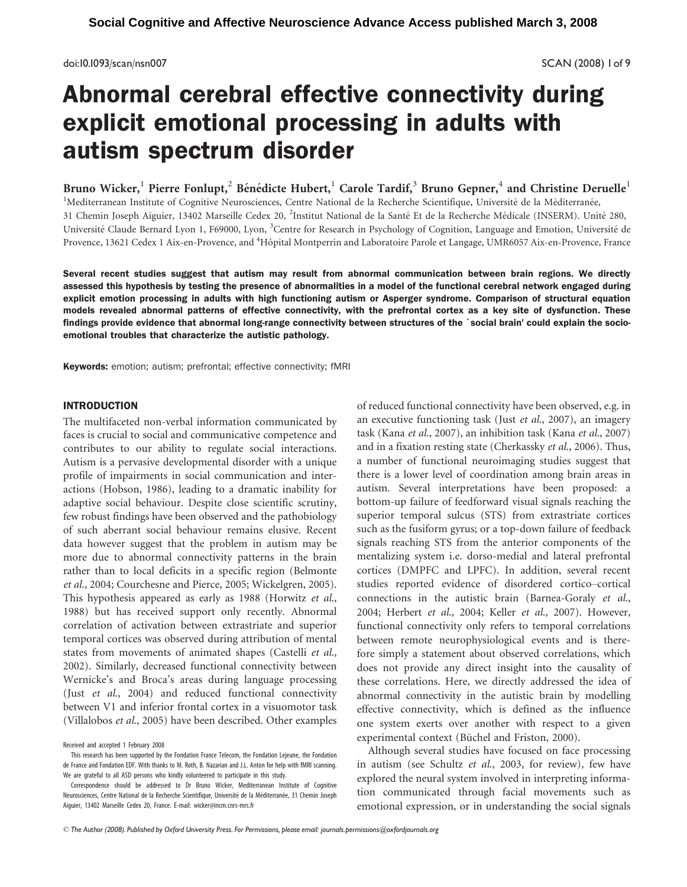doi:10.1093/scan/nsn007 SCAN (2008) 1of 9

# Abnormal cerebral effective connectivity during explicit emotional processing in adults with autism spectrum disorder

Bruno Wicker,<sup>1</sup> Pierre Fonlupt,<sup>2</sup> Bénédicte Hubert,<sup>1</sup> Carole Tardif,<sup>3</sup> Bruno Gepner,<sup>4</sup> and Christine Deruelle<sup>1</sup> <sup>1</sup>Mediterranean Institute of Cognitive Neurosciences, Centre National de la Recherche Scientifique, Université de la Méditerranée, 31 Chemin Joseph Aiguier, 13402 Marseille Cedex 20, <sup>2</sup>Institut National de la Santé Et de la Recherche Médicale (INSERM). Unité 280, Université Claude Bernard Lyon 1, F69000, Lyon, <sup>3</sup>Centre for Research in Psychology of Cognition, Language and Emotion, Université de Provence, 13621 Cedex 1 Aix-en-Provence, and <sup>4</sup>Hôpital Montperrin and Laboratoire Parole et Langage, UMR6057 Aix-en-Provence, France

Several recent studies suggest that autism may result from abnormal communication between brain regions. We directly assessed this hypothesis by testing the presence of abnormalities in a model of the functional cerebral network engaged during explicit emotion processing in adults with high functioning autism or Asperger syndrome. Comparison of structural equation models revealed abnormal patterns of effective connectivity, with the prefrontal cortex as a key site of dysfunction. These findings provide evidence that abnormal long-range connectivity between structures of the 'social brain' could explain the socioemotional troubles that characterize the autistic pathology.

Keywords: emotion; autism; prefrontal; effective connectivity; fMRI

## INTRODUCTION

The multifaceted non-verbal information communicated by faces is crucial to social and communicative competence and contributes to our ability to regulate social interactions. Autism is a pervasive developmental disorder with a unique profile of impairments in social communication and interactions (Hobson, 1986), leading to a dramatic inability for adaptive social behaviour. Despite close scientific scrutiny, few robust findings have been observed and the pathobiology of such aberrant social behaviour remains elusive. Recent data however suggest that the problem in autism may be more due to abnormal connectivity patterns in the brain rather than to local deficits in a specific region (Belmonte et al., 2004; Courchesne and Pierce, 2005; Wickelgren, 2005). This hypothesis appeared as early as 1988 (Horwitz et al., 1988) but has received support only recently. Abnormal correlation of activation between extrastriate and superior temporal cortices was observed during attribution of mental states from movements of animated shapes (Castelli et al., 2002). Similarly, decreased functional connectivity between Wernicke's and Broca's areas during language processing (Just et al., 2004) and reduced functional connectivity between V1 and inferior frontal cortex in a visuomotor task (Villalobos et al., 2005) have been described. Other examples of reduced functional connectivity have been observed, e.g. in an executive functioning task (Just et al., 2007), an imagery task (Kana et al., 2007), an inhibition task (Kana et al., 2007) and in a fixation resting state (Cherkassky et al., 2006). Thus, a number of functional neuroimaging studies suggest that there is a lower level of coordination among brain areas in autism. Several interpretations have been proposed: a bottom-up failure of feedforward visual signals reaching the superior temporal sulcus (STS) from extrastriate cortices such as the fusiform gyrus; or a top-down failure of feedback signals reaching STS from the anterior components of the mentalizing system i.e. dorso-medial and lateral prefrontal cortices (DMPFC and LPFC). In addition, several recent studies reported evidence of disordered cortico–cortical connections in the autistic brain (Barnea-Goraly et al., 2004; Herbert et al., 2004; Keller et al., 2007). However, functional connectivity only refers to temporal correlations between remote neurophysiological events and is therefore simply a statement about observed correlations, which does not provide any direct insight into the causality of these correlations. Here, we directly addressed the idea of abnormal connectivity in the autistic brain by modelling effective connectivity, which is defined as the influence one system exerts over another with respect to a given experimental context (Büchel and Friston, 2000).

Although several studies have focused on face processing in autism (see Schultz et al., 2003, for review), few have explored the neural system involved in interpreting information communicated through facial movements such as emotional expression, or in understanding the social signals

Received and accepted 1 February 2008

This research has been supported by the Fondation France Telecom, the Fondation Lejeune, the Fondation de France and Fondation EDF. With thanks to M. Roth, B. Nazarian and J.L. Anton for help with fMRI scanning. We are grateful to all ASD persons who kindly volunteered to participate in this study.

Correspondence should be addressed to Dr Bruno Wicker, Mediterranean Institute of Cognitive Neurosciences, Centre National de la Recherche Scientifique, Université de la Méditerranée, 31 Chemin Joseph Aiguier, 13402 Marseille Cedex 20, France. E-mail: wicker@incm.cnrs-mrs.fr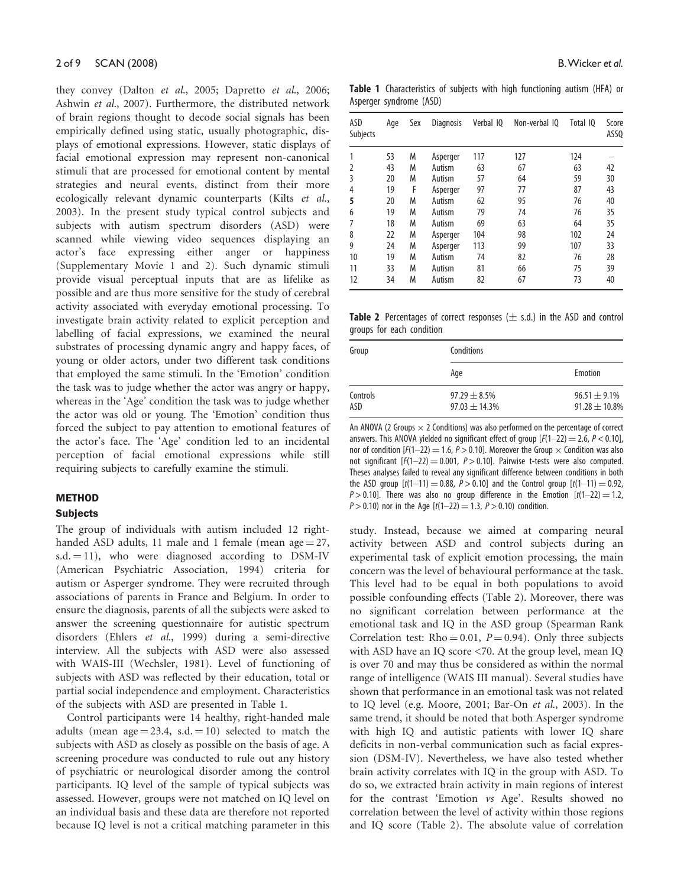they convey (Dalton et al., 2005; Dapretto et al., 2006; Ashwin et al., 2007). Furthermore, the distributed network of brain regions thought to decode social signals has been empirically defined using static, usually photographic, displays of emotional expressions. However, static displays of facial emotional expression may represent non-canonical stimuli that are processed for emotional content by mental strategies and neural events, distinct from their more ecologically relevant dynamic counterparts (Kilts et al., 2003). In the present study typical control subjects and subjects with autism spectrum disorders (ASD) were scanned while viewing video sequences displaying an actor's face expressing either anger or happiness (Supplementary Movie 1 and 2). Such dynamic stimuli provide visual perceptual inputs that are as lifelike as possible and are thus more sensitive for the study of cerebral activity associated with everyday emotional processing. To investigate brain activity related to explicit perception and labelling of facial expressions, we examined the neural substrates of processing dynamic angry and happy faces, of young or older actors, under two different task conditions that employed the same stimuli. In the 'Emotion' condition the task was to judge whether the actor was angry or happy, whereas in the 'Age' condition the task was to judge whether the actor was old or young. The 'Emotion' condition thus forced the subject to pay attention to emotional features of the actor's face. The 'Age' condition led to an incidental perception of facial emotional expressions while still requiring subjects to carefully examine the stimuli.

## METHOD

### Subjects

The group of individuals with autism included 12 righthanded ASD adults, 11 male and 1 female (mean age  $= 27$ ,  $s.d. = 11$ ), who were diagnosed according to DSM-IV (American Psychiatric Association, 1994) criteria for autism or Asperger syndrome. They were recruited through associations of parents in France and Belgium. In order to ensure the diagnosis, parents of all the subjects were asked to answer the screening questionnaire for autistic spectrum disorders (Ehlers et al., 1999) during a semi-directive interview. All the subjects with ASD were also assessed with WAIS-III (Wechsler, 1981). Level of functioning of subjects with ASD was reflected by their education, total or partial social independence and employment. Characteristics of the subjects with ASD are presented in Table 1.

Control participants were 14 healthy, right-handed male adults (mean  $age = 23.4$ , s.d.  $= 10$ ) selected to match the subjects with ASD as closely as possible on the basis of age. A screening procedure was conducted to rule out any history of psychiatric or neurological disorder among the control participants. IQ level of the sample of typical subjects was assessed. However, groups were not matched on IQ level on an individual basis and these data are therefore not reported because IQ level is not a critical matching parameter in this

Table 1 Characteristics of subjects with high functioning autism (HFA) or Asperger syndrome (ASD)

| ASD<br>Subjects | Age | Sex | <b>Diagnosis</b> | Verbal 10 | Non-verbal 10 | Total IQ | Score<br>ASS <sub>0</sub> |
|-----------------|-----|-----|------------------|-----------|---------------|----------|---------------------------|
|                 | 53  | M   | Asperger         | 117       | 127           | 124      |                           |
| 2               | 43  | M   | Autism           | 63        | 67            | 63       | 42                        |
| 3               | 20  | M   | Autism           | 57        | 64            | 59       | 30                        |
| 4               | 19  | F   | Asperger         | 97        | 77            | 87       | 43                        |
| 5               | 20  | M   | Autism           | 62        | 95            | 76       | 40                        |
| 6               | 19  | M   | Autism           | 79        | 74            | 76       | 35                        |
| 7               | 18  | M   | Autism           | 69        | 63            | 64       | 35                        |
| 8               | 22  | M   | Asperger         | 104       | 98            | 102      | 24                        |
| 9               | 24  | M   | Asperger         | 113       | 99            | 107      | 33                        |
| 10              | 19  | M   | Autism           | 74        | 82            | 76       | 28                        |
| 11              | 33  | M   | Autism           | 81        | 66            | 75       | 39                        |
| 12              | 34  | M   | Autism           | 82        | 67            | 73       | 40                        |

Table 2 Percentages of correct responses  $(\pm s.d.)$  in the ASD and control groups for each condition

| Group           | Conditions                              |                                         |
|-----------------|-----------------------------------------|-----------------------------------------|
|                 | Age                                     | Emotion                                 |
| Controls<br>ASD | $97.29 \pm 8.5\%$<br>$97.03 \pm 14.3\%$ | $96.51 \pm 9.1\%$<br>$91.28 \pm 10.8\%$ |

An ANOVA (2 Groups  $\times$  2 Conditions) was also performed on the percentage of correct answers. This ANOVA yielded no significant effect of group  $[F(1-22) = 2.6, P < 0.10]$ , nor of condition  $[F(1-22) = 1.6, P > 0.10]$ . Moreover the Group  $\times$  Condition was also not significant  $[F(1-22) = 0.001, P > 0.10]$ . Pairwise t-tests were also computed. Theses analyses failed to reveal any significant difference between conditions in both the ASD group  $[t(1-11) = 0.88, P > 0.10]$  and the Control group  $[t(1-11) = 0.92,$  $P > 0.10$ ]. There was also no group difference in the Emotion  $[t(1-22) = 1.2,$  $P > 0.10$ ) nor in the Age  $[t(1-22) = 1.3, P > 0.10)$  condition.

study. Instead, because we aimed at comparing neural activity between ASD and control subjects during an experimental task of explicit emotion processing, the main concern was the level of behavioural performance at the task. This level had to be equal in both populations to avoid possible confounding effects (Table 2). Moreover, there was no significant correlation between performance at the emotional task and IQ in the ASD group (Spearman Rank Correlation test: Rho = 0.01,  $P = 0.94$ ). Only three subjects with ASD have an IQ score <70. At the group level, mean IQ is over 70 and may thus be considered as within the normal range of intelligence (WAIS III manual). Several studies have shown that performance in an emotional task was not related to IQ level (e.g. Moore, 2001; Bar-On et al., 2003). In the same trend, it should be noted that both Asperger syndrome with high IQ and autistic patients with lower IQ share deficits in non-verbal communication such as facial expression (DSM-IV). Nevertheless, we have also tested whether brain activity correlates with IQ in the group with ASD. To do so, we extracted brain activity in main regions of interest for the contrast 'Emotion vs Age'. Results showed no correlation between the level of activity within those regions and IQ score (Table 2). The absolute value of correlation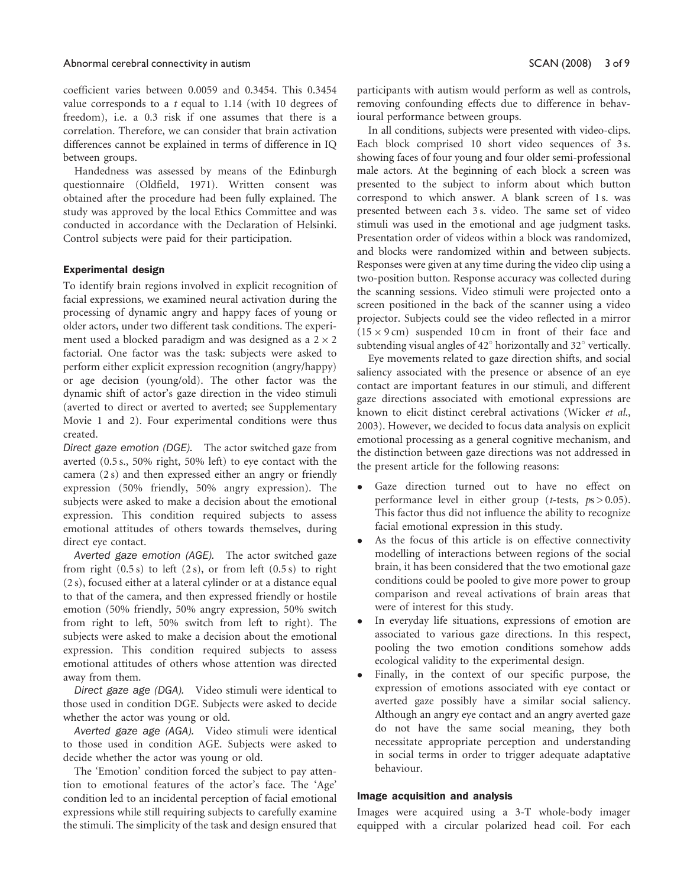coefficient varies between 0.0059 and 0.3454. This 0.3454 value corresponds to a  $t$  equal to 1.14 (with 10 degrees of freedom), i.e. a 0.3 risk if one assumes that there is a correlation. Therefore, we can consider that brain activation differences cannot be explained in terms of difference in IQ between groups.

Handedness was assessed by means of the Edinburgh questionnaire (Oldfield, 1971). Written consent was obtained after the procedure had been fully explained. The study was approved by the local Ethics Committee and was conducted in accordance with the Declaration of Helsinki. Control subjects were paid for their participation.

## Experimental design

To identify brain regions involved in explicit recognition of facial expressions, we examined neural activation during the processing of dynamic angry and happy faces of young or older actors, under two different task conditions. The experiment used a blocked paradigm and was designed as a  $2 \times 2$ factorial. One factor was the task: subjects were asked to perform either explicit expression recognition (angry/happy) or age decision (young/old). The other factor was the dynamic shift of actor's gaze direction in the video stimuli (averted to direct or averted to averted; see Supplementary Movie 1 and 2). Four experimental conditions were thus created.

Direct gaze emotion (DGE). The actor switched gaze from averted (0.5 s., 50% right, 50% left) to eye contact with the camera (2 s) and then expressed either an angry or friendly expression (50% friendly, 50% angry expression). The subjects were asked to make a decision about the emotional expression. This condition required subjects to assess emotional attitudes of others towards themselves, during direct eye contact.

Averted gaze emotion (AGE). The actor switched gaze from right  $(0.5 s)$  to left  $(2 s)$ , or from left  $(0.5 s)$  to right (2 s), focused either at a lateral cylinder or at a distance equal to that of the camera, and then expressed friendly or hostile emotion (50% friendly, 50% angry expression, 50% switch from right to left, 50% switch from left to right). The subjects were asked to make a decision about the emotional expression. This condition required subjects to assess emotional attitudes of others whose attention was directed away from them.

Direct gaze age (DGA). Video stimuli were identical to those used in condition DGE. Subjects were asked to decide whether the actor was young or old.

Averted gaze age (AGA). Video stimuli were identical to those used in condition AGE. Subjects were asked to decide whether the actor was young or old.

The 'Emotion' condition forced the subject to pay attention to emotional features of the actor's face. The 'Age' condition led to an incidental perception of facial emotional expressions while still requiring subjects to carefully examine the stimuli. The simplicity of the task and design ensured that participants with autism would perform as well as controls, removing confounding effects due to difference in behavioural performance between groups.

In all conditions, subjects were presented with video-clips. Each block comprised 10 short video sequences of 3 s. showing faces of four young and four older semi-professional male actors. At the beginning of each block a screen was presented to the subject to inform about which button correspond to which answer. A blank screen of 1 s. was presented between each 3 s. video. The same set of video stimuli was used in the emotional and age judgment tasks. Presentation order of videos within a block was randomized, and blocks were randomized within and between subjects. Responses were given at any time during the video clip using a two-position button. Response accuracy was collected during the scanning sessions. Video stimuli were projected onto a screen positioned in the back of the scanner using a video projector. Subjects could see the video reflected in a mirror  $(15 \times 9 \text{ cm})$  suspended 10 cm in front of their face and subtending visual angles of  $42^{\circ}$  horizontally and  $32^{\circ}$  vertically.

Eye movements related to gaze direction shifts, and social saliency associated with the presence or absence of an eye contact are important features in our stimuli, and different gaze directions associated with emotional expressions are known to elicit distinct cerebral activations (Wicker et al., 2003). However, we decided to focus data analysis on explicit emotional processing as a general cognitive mechanism, and the distinction between gaze directions was not addressed in the present article for the following reasons:

- Gaze direction turned out to have no effect on performance level in either group (*t*-tests,  $ps > 0.05$ ). This factor thus did not influence the ability to recognize facial emotional expression in this study.
- As the focus of this article is on effective connectivity modelling of interactions between regions of the social brain, it has been considered that the two emotional gaze conditions could be pooled to give more power to group comparison and reveal activations of brain areas that were of interest for this study.
- In everyday life situations, expressions of emotion are associated to various gaze directions. In this respect, pooling the two emotion conditions somehow adds ecological validity to the experimental design.
- Finally, in the context of our specific purpose, the expression of emotions associated with eye contact or averted gaze possibly have a similar social saliency. Although an angry eye contact and an angry averted gaze do not have the same social meaning, they both necessitate appropriate perception and understanding in social terms in order to trigger adequate adaptative behaviour.

## Image acquisition and analysis

Images were acquired using a 3-T whole-body imager equipped with a circular polarized head coil. For each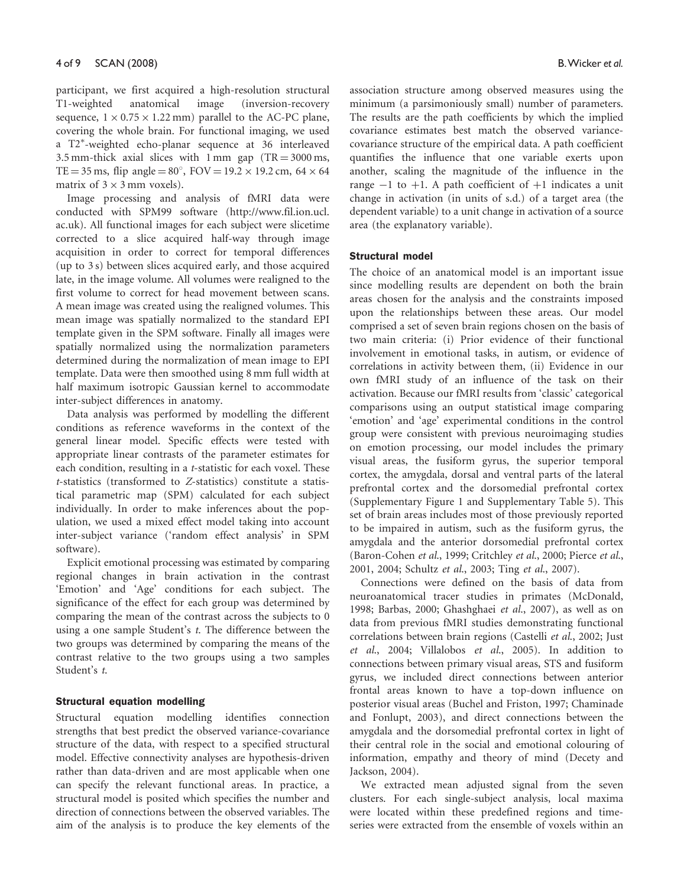participant, we first acquired a high-resolution structural T1-weighted anatomical image (inversion-recovery sequence,  $1 \times 0.75 \times 1.22$  mm) parallel to the AC-PC plane, covering the whole brain. For functional imaging, we used a T2 -weighted echo-planar sequence at 36 interleaved 3.5 mm-thick axial slices with 1 mm gap  $(TR = 3000 \text{ ms})$ , TE = 35 ms, flip angle =  $80^{\circ}$ , FOV =  $19.2 \times 19.2$  cm,  $64 \times 64$ matrix of  $3 \times 3$  mm voxels).

Image processing and analysis of fMRI data were conducted with SPM99 software [\(http://www.fil.ion.ucl.](http://www.fil.ion.ucl) ac.uk). All functional images for each subject were slicetime corrected to a slice acquired half-way through image acquisition in order to correct for temporal differences (up to 3 s) between slices acquired early, and those acquired late, in the image volume. All volumes were realigned to the first volume to correct for head movement between scans. A mean image was created using the realigned volumes. This mean image was spatially normalized to the standard EPI template given in the SPM software. Finally all images were spatially normalized using the normalization parameters determined during the normalization of mean image to EPI template. Data were then smoothed using 8 mm full width at half maximum isotropic Gaussian kernel to accommodate inter-subject differences in anatomy.

Data analysis was performed by modelling the different conditions as reference waveforms in the context of the general linear model. Specific effects were tested with appropriate linear contrasts of the parameter estimates for each condition, resulting in a t-statistic for each voxel. These t-statistics (transformed to Z-statistics) constitute a statistical parametric map (SPM) calculated for each subject individually. In order to make inferences about the population, we used a mixed effect model taking into account inter-subject variance ('random effect analysis' in SPM software).

Explicit emotional processing was estimated by comparing regional changes in brain activation in the contrast 'Emotion' and 'Age' conditions for each subject. The significance of the effect for each group was determined by comparing the mean of the contrast across the subjects to 0 using a one sample Student's t. The difference between the two groups was determined by comparing the means of the contrast relative to the two groups using a two samples Student's t.

### Structural equation modelling

Structural equation modelling identifies connection strengths that best predict the observed variance-covariance structure of the data, with respect to a specified structural model. Effective connectivity analyses are hypothesis-driven rather than data-driven and are most applicable when one can specify the relevant functional areas. In practice, a structural model is posited which specifies the number and direction of connections between the observed variables. The aim of the analysis is to produce the key elements of the association structure among observed measures using the minimum (a parsimoniously small) number of parameters. The results are the path coefficients by which the implied covariance estimates best match the observed variancecovariance structure of the empirical data. A path coefficient quantifies the influence that one variable exerts upon another, scaling the magnitude of the influence in the range  $-1$  to  $+1$ . A path coefficient of  $+1$  indicates a unit change in activation (in units of s.d.) of a target area (the dependent variable) to a unit change in activation of a source area (the explanatory variable).

## Structural model

The choice of an anatomical model is an important issue since modelling results are dependent on both the brain areas chosen for the analysis and the constraints imposed upon the relationships between these areas. Our model comprised a set of seven brain regions chosen on the basis of two main criteria: (i) Prior evidence of their functional involvement in emotional tasks, in autism, or evidence of correlations in activity between them, (ii) Evidence in our own fMRI study of an influence of the task on their activation. Because our fMRI results from 'classic' categorical comparisons using an output statistical image comparing 'emotion' and 'age' experimental conditions in the control group were consistent with previous neuroimaging studies on emotion processing, our model includes the primary visual areas, the fusiform gyrus, the superior temporal cortex, the amygdala, dorsal and ventral parts of the lateral prefrontal cortex and the dorsomedial prefrontal cortex (Supplementary Figure 1 and Supplementary Table 5). This set of brain areas includes most of those previously reported to be impaired in autism, such as the fusiform gyrus, the amygdala and the anterior dorsomedial prefrontal cortex (Baron-Cohen et al., 1999; Critchley et al., 2000; Pierce et al., 2001, 2004; Schultz et al., 2003; Ting et al., 2007).

Connections were defined on the basis of data from neuroanatomical tracer studies in primates (McDonald, 1998; Barbas, 2000; Ghashghaei et al., 2007), as well as on data from previous fMRI studies demonstrating functional correlations between brain regions (Castelli et al., 2002; Just et al., 2004; Villalobos et al., 2005). In addition to connections between primary visual areas, STS and fusiform gyrus, we included direct connections between anterior frontal areas known to have a top-down influence on posterior visual areas (Buchel and Friston, 1997; Chaminade and Fonlupt, 2003), and direct connections between the amygdala and the dorsomedial prefrontal cortex in light of their central role in the social and emotional colouring of information, empathy and theory of mind (Decety and Jackson, 2004).

We extracted mean adjusted signal from the seven clusters. For each single-subject analysis, local maxima were located within these predefined regions and timeseries were extracted from the ensemble of voxels within an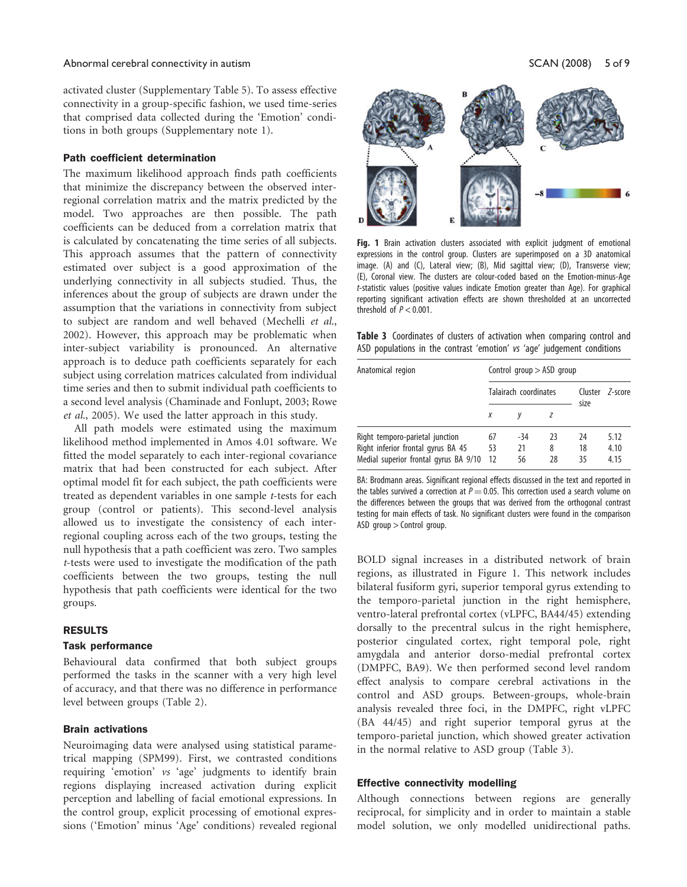#### Abnormal cerebral connectivity in autism  $SCAN (2008)$  5 of 9

activated cluster (Supplementary Table 5). To assess effective connectivity in a group-specific fashion, we used time-series that comprised data collected during the 'Emotion' conditions in both groups (Supplementary note 1).

## Path coefficient determination

The maximum likelihood approach finds path coefficients that minimize the discrepancy between the observed interregional correlation matrix and the matrix predicted by the model. Two approaches are then possible. The path coefficients can be deduced from a correlation matrix that is calculated by concatenating the time series of all subjects. This approach assumes that the pattern of connectivity estimated over subject is a good approximation of the underlying connectivity in all subjects studied. Thus, the inferences about the group of subjects are drawn under the assumption that the variations in connectivity from subject to subject are random and well behaved (Mechelli et al., 2002). However, this approach may be problematic when inter-subject variability is pronounced. An alternative approach is to deduce path coefficients separately for each subject using correlation matrices calculated from individual time series and then to submit individual path coefficients to a second level analysis (Chaminade and Fonlupt, 2003; Rowe et al., 2005). We used the latter approach in this study.

All path models were estimated using the maximum likelihood method implemented in Amos 4.01 software. We fitted the model separately to each inter-regional covariance matrix that had been constructed for each subject. After optimal model fit for each subject, the path coefficients were treated as dependent variables in one sample t-tests for each group (control or patients). This second-level analysis allowed us to investigate the consistency of each interregional coupling across each of the two groups, testing the null hypothesis that a path coefficient was zero. Two samples t-tests were used to investigate the modification of the path coefficients between the two groups, testing the null hypothesis that path coefficients were identical for the two groups.

## RESULTS

### Task performance

Behavioural data confirmed that both subject groups performed the tasks in the scanner with a very high level of accuracy, and that there was no difference in performance level between groups (Table 2).

### Brain activations

Neuroimaging data were analysed using statistical parametrical mapping (SPM99). First, we contrasted conditions requiring 'emotion' vs 'age' judgments to identify brain regions displaying increased activation during explicit perception and labelling of facial emotional expressions. In the control group, explicit processing of emotional expressions ('Emotion' minus 'Age' conditions) revealed regional



Fig. 1 Brain activation clusters associated with explicit judgment of emotional expressions in the control group. Clusters are superimposed on a 3D anatomical image. (A) and (C), Lateral view; (B), Mid sagittal view; (D), Transverse view; (E), Coronal view. The clusters are colour-coded based on the Emotion-minus-Age t-statistic values (positive values indicate Emotion greater than Age). For graphical reporting significant activation effects are shown thresholded at an uncorrected threshold of  $P < 0.001$ .

Table 3 Coordinates of clusters of activation when comparing control and ASD populations in the contrast 'emotion' vs 'age' judgement conditions

| Anatomical region                                                                                              | Control group $>$ ASD group |                   |               |                |                      |
|----------------------------------------------------------------------------------------------------------------|-----------------------------|-------------------|---------------|----------------|----------------------|
|                                                                                                                | Talairach coordinates       |                   |               | size           | Cluster 7-score      |
|                                                                                                                | Х                           |                   |               |                |                      |
| Right temporo-parietal junction<br>Right inferior frontal gyrus BA 45<br>Medial superior frontal gyrus BA 9/10 | 67<br>53<br>12              | $-34$<br>21<br>56 | 23<br>8<br>28 | 24<br>18<br>35 | 5.12<br>4.10<br>4.15 |

BA: Brodmann areas. Significant regional effects discussed in the text and reported in the tables survived a correction at  $P = 0.05$ . This correction used a search volume on the differences between the groups that was derived from the orthogonal contrast testing for main effects of task. No significant clusters were found in the comparison ASD group > Control group.

BOLD signal increases in a distributed network of brain regions, as illustrated in Figure 1. This network includes bilateral fusiform gyri, superior temporal gyrus extending to the temporo-parietal junction in the right hemisphere, ventro-lateral prefrontal cortex (vLPFC, BA44/45) extending dorsally to the precentral sulcus in the right hemisphere, posterior cingulated cortex, right temporal pole, right amygdala and anterior dorso-medial prefrontal cortex (DMPFC, BA9). We then performed second level random effect analysis to compare cerebral activations in the control and ASD groups. Between-groups, whole-brain analysis revealed three foci, in the DMPFC, right vLPFC (BA 44/45) and right superior temporal gyrus at the temporo-parietal junction, which showed greater activation in the normal relative to ASD group (Table 3).

#### Effective connectivity modelling

Although connections between regions are generally reciprocal, for simplicity and in order to maintain a stable model solution, we only modelled unidirectional paths.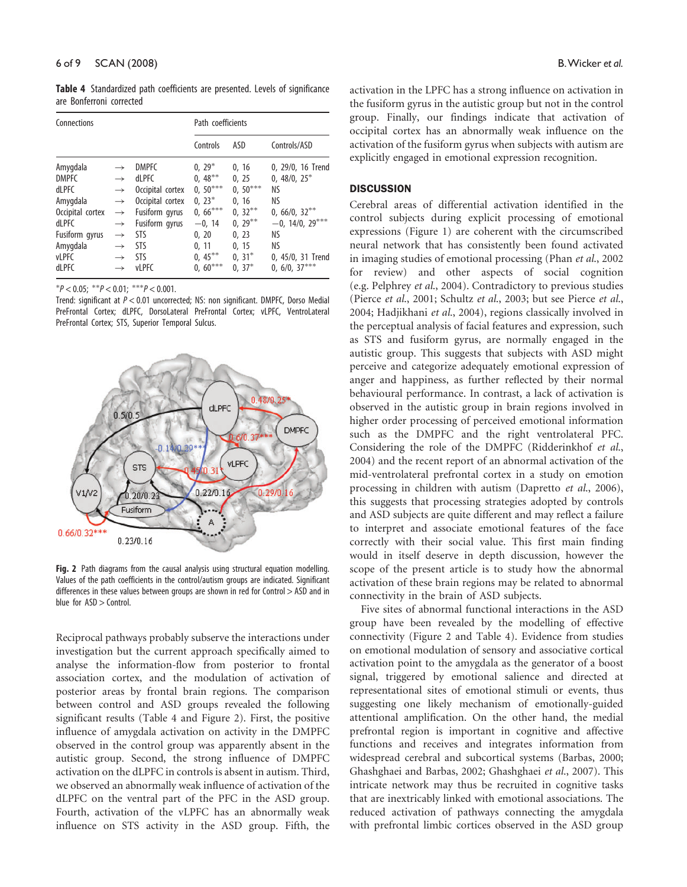Table 4 Standardized path coefficients are presented. Levels of significance are Bonferroni corrected

| Connections                                                                                                                     |                                                                                                                                                       |                                                                                                                                      | Path coefficients                                                                                            |                                                                                                 |                                                                                                                            |  |
|---------------------------------------------------------------------------------------------------------------------------------|-------------------------------------------------------------------------------------------------------------------------------------------------------|--------------------------------------------------------------------------------------------------------------------------------------|--------------------------------------------------------------------------------------------------------------|-------------------------------------------------------------------------------------------------|----------------------------------------------------------------------------------------------------------------------------|--|
|                                                                                                                                 |                                                                                                                                                       |                                                                                                                                      | Controls                                                                                                     | ASD                                                                                             | Controls/ASD                                                                                                               |  |
| Amygdala<br><b>DMPFC</b><br>dLPFC<br>Amygdala<br>Occipital cortex<br><b>dLPFC</b><br>Fusiform gyrus<br>Amygdala<br><b>vLPFC</b> | $\rightarrow$<br>$\rightarrow$<br>$\rightarrow$<br>$\rightarrow$<br>$\rightarrow$<br>$\rightarrow$<br>$\rightarrow$<br>$\rightarrow$<br>$\rightarrow$ | <b>DMPFC</b><br><b>dLPFC</b><br>Occipital cortex<br>Occipital cortex<br>Fusiform gyrus<br>Fusiform gyrus<br>STS<br>STS<br><b>STS</b> | $0, 29^*$<br>$0, 48***$<br>$0, 50***$<br>$0, 23^*$<br>$0, 66***$<br>$-0, 14$<br>0, 20<br>0, 11<br>$0, 45***$ | 0, 16<br>0, 25<br>$0, 50***$<br>0, 16<br>$0, 32***$<br>$0, 29***$<br>0, 23<br>0.15<br>$0, 31^*$ | 0, 29/0, 16 Trend<br>$0, 48/0, 25^*$<br>ΝS<br>ΝS<br>$0, 66/0, 32***$<br>$-0, 14/0, 29***$<br>ΝS<br>ΝS<br>0, 45/0, 31 Trend |  |
| <b>dLPFC</b>                                                                                                                    | $\rightarrow$                                                                                                                                         | <b>vLPFC</b>                                                                                                                         | $0, 60***$                                                                                                   | $0, 37^*$                                                                                       | $0, 6/0, 37***$                                                                                                            |  |

 $P < 0.05$ ; \*\* $P < 0.01$ ; \*\*\* $P < 0.001$ .

Trend: significant at P < 0.01 uncorrected; NS: non significant. DMPFC, Dorso Medial PreFrontal Cortex; dLPFC, DorsoLateral PreFrontal Cortex; vLPFC, VentroLateral PreFrontal Cortex; STS, Superior Temporal Sulcus.



Fig. 2 Path diagrams from the causal analysis using structural equation modelling. Values of the path coefficients in the control/autism groups are indicated. Significant differences in these values between groups are shown in red for Control > ASD and in blue for ASD > Control.

Reciprocal pathways probably subserve the interactions under investigation but the current approach specifically aimed to analyse the information-flow from posterior to frontal association cortex, and the modulation of activation of posterior areas by frontal brain regions. The comparison between control and ASD groups revealed the following significant results (Table 4 and Figure 2). First, the positive influence of amygdala activation on activity in the DMPFC observed in the control group was apparently absent in the autistic group. Second, the strong influence of DMPFC activation on the dLPFC in controls is absent in autism. Third, we observed an abnormally weak influence of activation of the dLPFC on the ventral part of the PFC in the ASD group. Fourth, activation of the vLPFC has an abnormally weak influence on STS activity in the ASD group. Fifth, the

activation in the LPFC has a strong influence on activation in the fusiform gyrus in the autistic group but not in the control group. Finally, our findings indicate that activation of occipital cortex has an abnormally weak influence on the activation of the fusiform gyrus when subjects with autism are explicitly engaged in emotional expression recognition.

## **DISCUSSION**

Cerebral areas of differential activation identified in the control subjects during explicit processing of emotional expressions (Figure 1) are coherent with the circumscribed neural network that has consistently been found activated in imaging studies of emotional processing (Phan et al., 2002 for review) and other aspects of social cognition (e.g. Pelphrey et al., 2004). Contradictory to previous studies (Pierce et al., 2001; Schultz et al., 2003; but see Pierce et al., 2004; Hadjikhani et al., 2004), regions classically involved in the perceptual analysis of facial features and expression, such as STS and fusiform gyrus, are normally engaged in the autistic group. This suggests that subjects with ASD might perceive and categorize adequately emotional expression of anger and happiness, as further reflected by their normal behavioural performance. In contrast, a lack of activation is observed in the autistic group in brain regions involved in higher order processing of perceived emotional information such as the DMPFC and the right ventrolateral PFC. Considering the role of the DMPFC (Ridderinkhof et al., 2004) and the recent report of an abnormal activation of the mid-ventrolateral prefrontal cortex in a study on emotion processing in children with autism (Dapretto et al., 2006), this suggests that processing strategies adopted by controls and ASD subjects are quite different and may reflect a failure to interpret and associate emotional features of the face correctly with their social value. This first main finding would in itself deserve in depth discussion, however the scope of the present article is to study how the abnormal activation of these brain regions may be related to abnormal connectivity in the brain of ASD subjects.

Five sites of abnormal functional interactions in the ASD group have been revealed by the modelling of effective connectivity (Figure 2 and Table 4). Evidence from studies on emotional modulation of sensory and associative cortical activation point to the amygdala as the generator of a boost signal, triggered by emotional salience and directed at representational sites of emotional stimuli or events, thus suggesting one likely mechanism of emotionally-guided attentional amplification. On the other hand, the medial prefrontal region is important in cognitive and affective functions and receives and integrates information from widespread cerebral and subcortical systems (Barbas, 2000; Ghashghaei and Barbas, 2002; Ghashghaei et al., 2007). This intricate network may thus be recruited in cognitive tasks that are inextricably linked with emotional associations. The reduced activation of pathways connecting the amygdala with prefrontal limbic cortices observed in the ASD group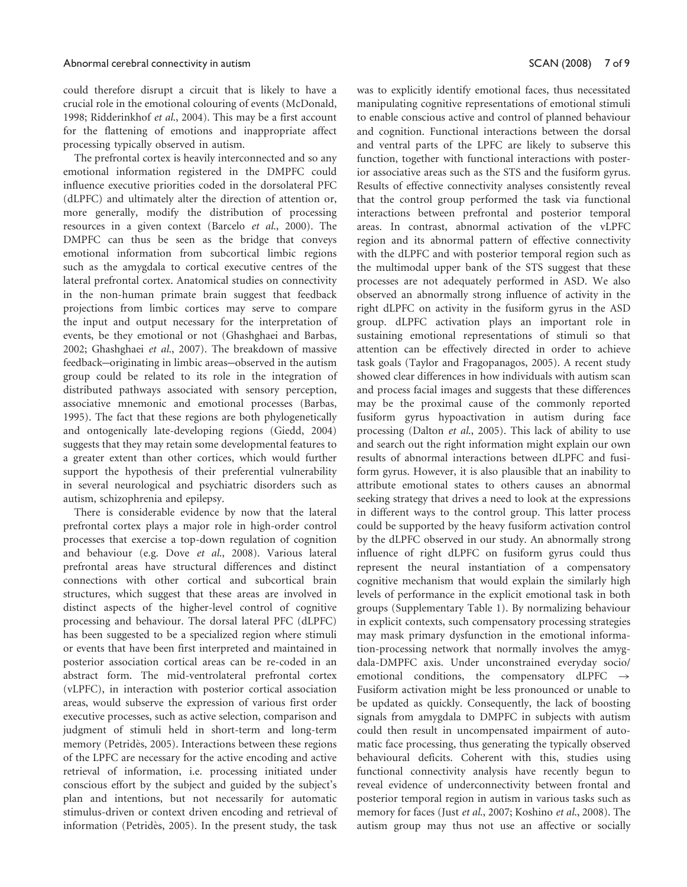#### Abnormal cerebral connectivity in autism SCAN (2008) 7 of 9

could therefore disrupt a circuit that is likely to have a crucial role in the emotional colouring of events (McDonald, 1998; Ridderinkhof et al., 2004). This may be a first account for the flattening of emotions and inappropriate affect processing typically observed in autism.

The prefrontal cortex is heavily interconnected and so any emotional information registered in the DMPFC could influence executive priorities coded in the dorsolateral PFC (dLPFC) and ultimately alter the direction of attention or, more generally, modify the distribution of processing resources in a given context (Barcelo et al., 2000). The DMPFC can thus be seen as the bridge that conveys emotional information from subcortical limbic regions such as the amygdala to cortical executive centres of the lateral prefrontal cortex. Anatomical studies on connectivity in the non-human primate brain suggest that feedback projections from limbic cortices may serve to compare the input and output necessary for the interpretation of events, be they emotional or not (Ghashghaei and Barbas, 2002; Ghashghaei et al., 2007). The breakdown of massive feedback—originating in limbic areas—observed in the autism group could be related to its role in the integration of distributed pathways associated with sensory perception, associative mnemonic and emotional processes (Barbas, 1995). The fact that these regions are both phylogenetically and ontogenically late-developing regions (Giedd, 2004) suggests that they may retain some developmental features to a greater extent than other cortices, which would further support the hypothesis of their preferential vulnerability in several neurological and psychiatric disorders such as autism, schizophrenia and epilepsy.

There is considerable evidence by now that the lateral prefrontal cortex plays a major role in high-order control processes that exercise a top-down regulation of cognition and behaviour (e.g. Dove et al., 2008). Various lateral prefrontal areas have structural differences and distinct connections with other cortical and subcortical brain structures, which suggest that these areas are involved in distinct aspects of the higher-level control of cognitive processing and behaviour. The dorsal lateral PFC (dLPFC) has been suggested to be a specialized region where stimuli or events that have been first interpreted and maintained in posterior association cortical areas can be re-coded in an abstract form. The mid-ventrolateral prefrontal cortex (vLPFC), in interaction with posterior cortical association areas, would subserve the expression of various first order executive processes, such as active selection, comparison and judgment of stimuli held in short-term and long-term memory (Petridès, 2005). Interactions between these regions of the LPFC are necessary for the active encoding and active retrieval of information, i.e. processing initiated under conscious effort by the subject and guided by the subject's plan and intentions, but not necessarily for automatic stimulus-driven or context driven encoding and retrieval of information (Petridès, 2005). In the present study, the task was to explicitly identify emotional faces, thus necessitated manipulating cognitive representations of emotional stimuli to enable conscious active and control of planned behaviour and cognition. Functional interactions between the dorsal and ventral parts of the LPFC are likely to subserve this function, together with functional interactions with posterior associative areas such as the STS and the fusiform gyrus. Results of effective connectivity analyses consistently reveal that the control group performed the task via functional interactions between prefrontal and posterior temporal areas. In contrast, abnormal activation of the vLPFC region and its abnormal pattern of effective connectivity with the dLPFC and with posterior temporal region such as the multimodal upper bank of the STS suggest that these processes are not adequately performed in ASD. We also observed an abnormally strong influence of activity in the right dLPFC on activity in the fusiform gyrus in the ASD group. dLPFC activation plays an important role in sustaining emotional representations of stimuli so that attention can be effectively directed in order to achieve task goals (Taylor and Fragopanagos, 2005). A recent study showed clear differences in how individuals with autism scan and process facial images and suggests that these differences may be the proximal cause of the commonly reported fusiform gyrus hypoactivation in autism during face processing (Dalton et al., 2005). This lack of ability to use and search out the right information might explain our own results of abnormal interactions between dLPFC and fusiform gyrus. However, it is also plausible that an inability to attribute emotional states to others causes an abnormal seeking strategy that drives a need to look at the expressions in different ways to the control group. This latter process could be supported by the heavy fusiform activation control by the dLPFC observed in our study. An abnormally strong influence of right dLPFC on fusiform gyrus could thus represent the neural instantiation of a compensatory cognitive mechanism that would explain the similarly high levels of performance in the explicit emotional task in both groups (Supplementary Table 1). By normalizing behaviour in explicit contexts, such compensatory processing strategies may mask primary dysfunction in the emotional information-processing network that normally involves the amygdala-DMPFC axis. Under unconstrained everyday socio/ emotional conditions, the compensatory dLPFC  $\rightarrow$ Fusiform activation might be less pronounced or unable to be updated as quickly. Consequently, the lack of boosting signals from amygdala to DMPFC in subjects with autism could then result in uncompensated impairment of automatic face processing, thus generating the typically observed behavioural deficits. Coherent with this, studies using functional connectivity analysis have recently begun to reveal evidence of underconnectivity between frontal and posterior temporal region in autism in various tasks such as memory for faces (Just et al., 2007; Koshino et al., 2008). The autism group may thus not use an affective or socially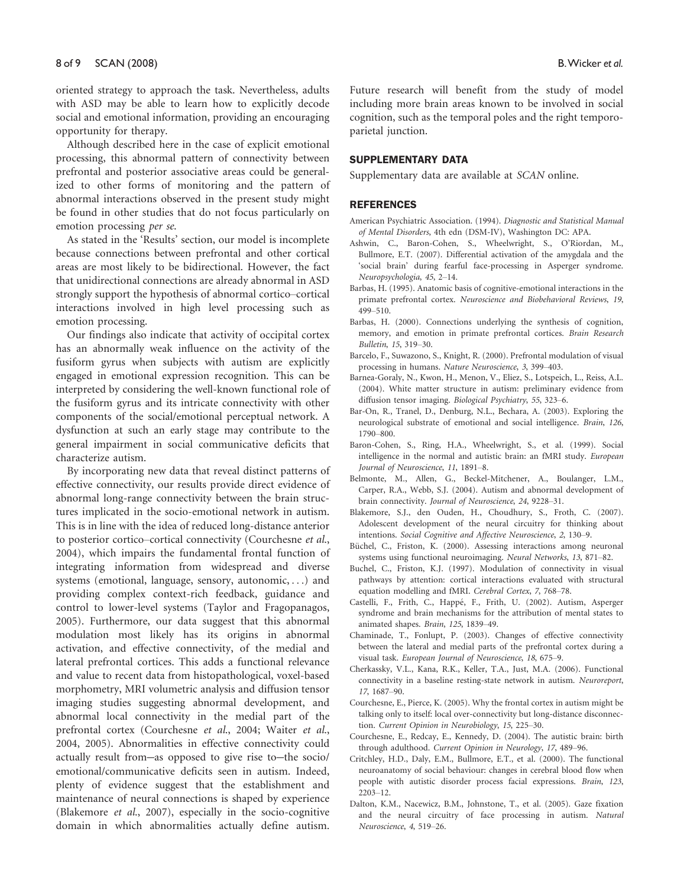oriented strategy to approach the task. Nevertheless, adults with ASD may be able to learn how to explicitly decode social and emotional information, providing an encouraging opportunity for therapy.

Although described here in the case of explicit emotional processing, this abnormal pattern of connectivity between prefrontal and posterior associative areas could be generalized to other forms of monitoring and the pattern of abnormal interactions observed in the present study might be found in other studies that do not focus particularly on emotion processing per se.

As stated in the 'Results' section, our model is incomplete because connections between prefrontal and other cortical areas are most likely to be bidirectional. However, the fact that unidirectional connections are already abnormal in ASD strongly support the hypothesis of abnormal cortico–cortical interactions involved in high level processing such as emotion processing.

Our findings also indicate that activity of occipital cortex has an abnormally weak influence on the activity of the fusiform gyrus when subjects with autism are explicitly engaged in emotional expression recognition. This can be interpreted by considering the well-known functional role of the fusiform gyrus and its intricate connectivity with other components of the social/emotional perceptual network. A dysfunction at such an early stage may contribute to the general impairment in social communicative deficits that characterize autism.

By incorporating new data that reveal distinct patterns of effective connectivity, our results provide direct evidence of abnormal long-range connectivity between the brain structures implicated in the socio-emotional network in autism. This is in line with the idea of reduced long-distance anterior to posterior cortico–cortical connectivity (Courchesne et al., 2004), which impairs the fundamental frontal function of integrating information from widespread and diverse systems (emotional, language, sensory, autonomic, ...) and providing complex context-rich feedback, guidance and control to lower-level systems (Taylor and Fragopanagos, 2005). Furthermore, our data suggest that this abnormal modulation most likely has its origins in abnormal activation, and effective connectivity, of the medial and lateral prefrontal cortices. This adds a functional relevance and value to recent data from histopathological, voxel-based morphometry, MRI volumetric analysis and diffusion tensor imaging studies suggesting abnormal development, and abnormal local connectivity in the medial part of the prefrontal cortex (Courchesne et al., 2004; Waiter et al., 2004, 2005). Abnormalities in effective connectivity could actually result from-as opposed to give rise to-the socio/ emotional/communicative deficits seen in autism. Indeed, plenty of evidence suggest that the establishment and maintenance of neural connections is shaped by experience (Blakemore et al., 2007), especially in the socio-cognitive domain in which abnormalities actually define autism.

Future research will benefit from the study of model including more brain areas known to be involved in social cognition, such as the temporal poles and the right temporoparietal junction.

## SUPPLEMENTARY DATA

Supplementary data are available at SCAN online.

#### **REFERENCES**

- American Psychiatric Association. (1994). Diagnostic and Statistical Manual of Mental Disorders, 4th edn (DSM-IV), Washington DC: APA.
- Ashwin, C., Baron-Cohen, S., Wheelwright, S., O'Riordan, M., Bullmore, E.T. (2007). Differential activation of the amygdala and the 'social brain' during fearful face-processing in Asperger syndrome. Neuropsychologia, 45, 2–14.
- Barbas, H. (1995). Anatomic basis of cognitive-emotional interactions in the primate prefrontal cortex. Neuroscience and Biobehavioral Reviews, 19, 499–510.
- Barbas, H. (2000). Connections underlying the synthesis of cognition, memory, and emotion in primate prefrontal cortices. Brain Research Bulletin, 15, 319–30.
- Barcelo, F., Suwazono, S., Knight, R. (2000). Prefrontal modulation of visual processing in humans. Nature Neuroscience, 3, 399–403.
- Barnea-Goraly, N., Kwon, H., Menon, V., Eliez, S., Lotspeich, L., Reiss, A.L. (2004). White matter structure in autism: preliminary evidence from diffusion tensor imaging. Biological Psychiatry, 55, 323–6.
- Bar-On, R., Tranel, D., Denburg, N.L., Bechara, A. (2003). Exploring the neurological substrate of emotional and social intelligence. Brain, 126, 1790–800.
- Baron-Cohen, S., Ring, H.A., Wheelwright, S., et al. (1999). Social intelligence in the normal and autistic brain: an fMRI study. European Journal of Neuroscience, 11, 1891–8.
- Belmonte, M., Allen, G., Beckel-Mitchener, A., Boulanger, L.M., Carper, R.A., Webb, S.J. (2004). Autism and abnormal development of brain connectivity. Journal of Neuroscience, 24, 9228–31.
- Blakemore, S.J., den Ouden, H., Choudhury, S., Froth, C. (2007). Adolescent development of the neural circuitry for thinking about intentions. Social Cognitive and Affective Neuroscience, 2, 130–9.
- Büchel, C., Friston, K. (2000). Assessing interactions among neuronal systems using functional neuroimaging. Neural Networks, 13, 871–82.
- Buchel, C., Friston, K.J. (1997). Modulation of connectivity in visual pathways by attention: cortical interactions evaluated with structural equation modelling and fMRI. Cerebral Cortex, 7, 768–78.
- Castelli, F., Frith, C., Happé, F., Frith, U. (2002). Autism, Asperger syndrome and brain mechanisms for the attribution of mental states to animated shapes. Brain, 125, 1839–49.
- Chaminade, T., Fonlupt, P. (2003). Changes of effective connectivity between the lateral and medial parts of the prefrontal cortex during a visual task. European Journal of Neuroscience, 18, 675–9.
- Cherkassky, V.L., Kana, R.K., Keller, T.A., Just, M.A. (2006). Functional connectivity in a baseline resting-state network in autism. Neuroreport, 17, 1687–90.
- Courchesne, E., Pierce, K. (2005). Why the frontal cortex in autism might be talking only to itself: local over-connectivity but long-distance disconnection. Current Opinion in Neurobiology, 15, 225–30.
- Courchesne, E., Redcay, E., Kennedy, D. (2004). The autistic brain: birth through adulthood. Current Opinion in Neurology, 17, 489–96.
- Critchley, H.D., Daly, E.M., Bullmore, E.T., et al. (2000). The functional neuroanatomy of social behaviour: changes in cerebral blood flow when people with autistic disorder process facial expressions. Brain, 123, 2203–12.
- Dalton, K.M., Nacewicz, B.M., Johnstone, T., et al. (2005). Gaze fixation and the neural circuitry of face processing in autism. Natural Neuroscience, 4, 519–26.